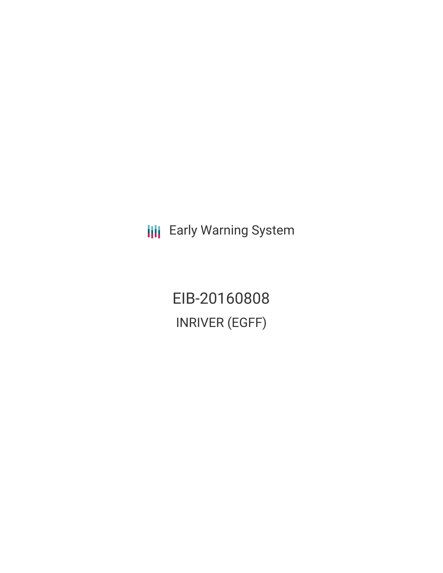**III** Early Warning System

EIB-20160808 INRIVER (EGFF)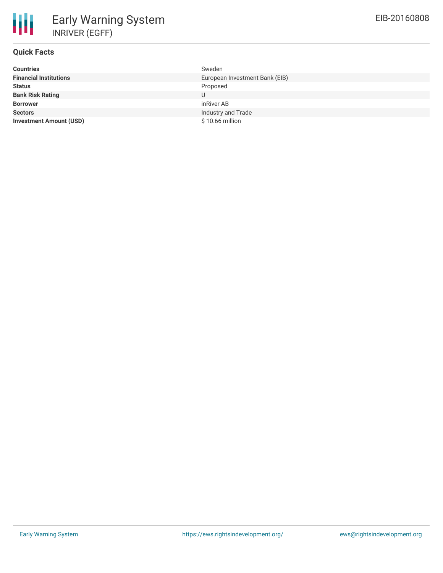

| <b>Countries</b>               | Sweden                         |
|--------------------------------|--------------------------------|
| <b>Financial Institutions</b>  | European Investment Bank (EIB) |
| <b>Status</b>                  | Proposed                       |
| <b>Bank Risk Rating</b>        | U                              |
| <b>Borrower</b>                | inRiver AB                     |
| <b>Sectors</b>                 | Industry and Trade             |
| <b>Investment Amount (USD)</b> | $$10.66$ million               |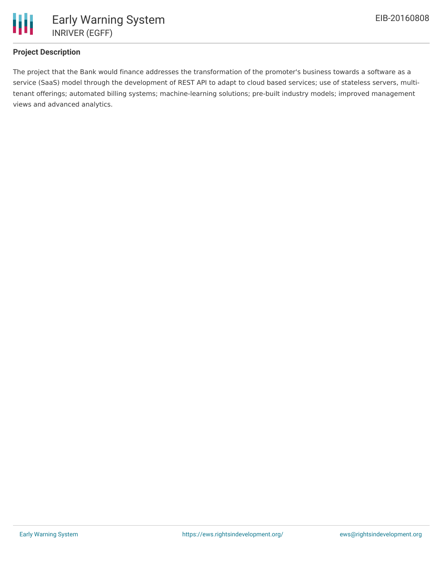

## **Project Description**

The project that the Bank would finance addresses the transformation of the promoter's business towards a software as a service (SaaS) model through the development of REST API to adapt to cloud based services; use of stateless servers, multitenant offerings; automated billing systems; machine-learning solutions; pre-built industry models; improved management views and advanced analytics.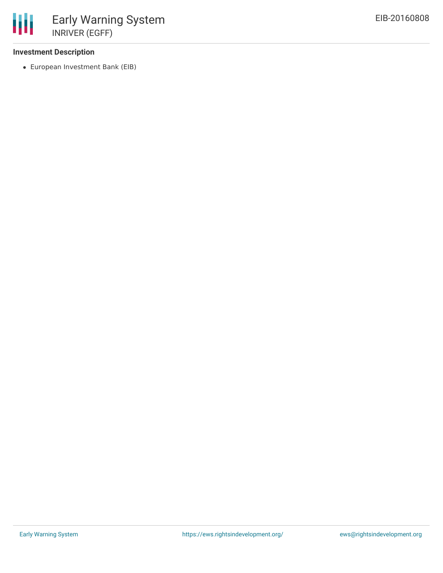## **Investment Description**

European Investment Bank (EIB)